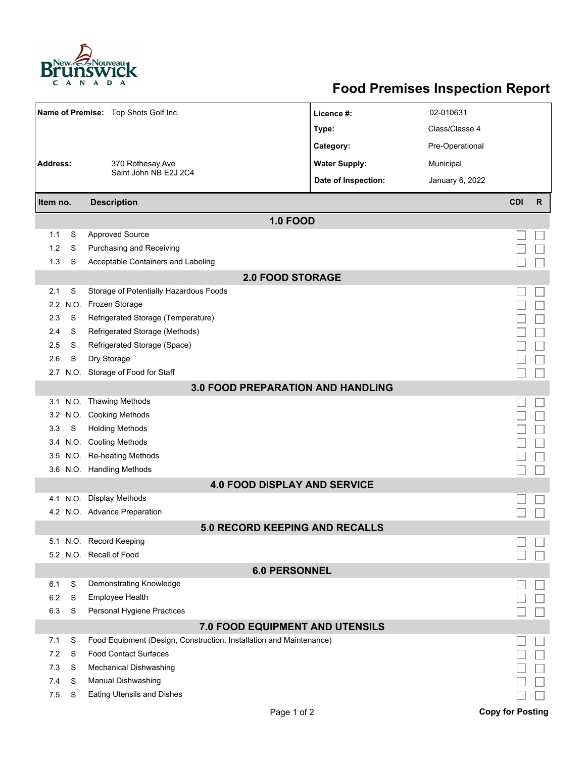

## **Food Premises Inspection Report**

| Name of Premise: Top Shots Golf Inc.     |          |                                                                     | Licence #:           | 02-010631       |                         |              |  |  |  |  |
|------------------------------------------|----------|---------------------------------------------------------------------|----------------------|-----------------|-------------------------|--------------|--|--|--|--|
|                                          |          |                                                                     | Type:                | Class/Classe 4  |                         |              |  |  |  |  |
|                                          |          |                                                                     | Category:            | Pre-Operational |                         |              |  |  |  |  |
| <b>Address:</b>                          |          | 370 Rothesay Ave                                                    | <b>Water Supply:</b> | Municipal       |                         |              |  |  |  |  |
|                                          |          | Saint John NB E2J 2C4                                               | Date of Inspection:  | January 6, 2022 |                         |              |  |  |  |  |
|                                          |          |                                                                     |                      |                 |                         |              |  |  |  |  |
| Item no.                                 |          | <b>Description</b>                                                  |                      |                 | <b>CDI</b>              | $\mathsf{R}$ |  |  |  |  |
|                                          |          | <b>1.0 FOOD</b>                                                     |                      |                 |                         |              |  |  |  |  |
| 1.1                                      | S        | <b>Approved Source</b>                                              |                      |                 |                         |              |  |  |  |  |
| 1.2                                      | S        | Purchasing and Receiving                                            |                      |                 |                         |              |  |  |  |  |
| 1.3                                      | S        | Acceptable Containers and Labeling                                  |                      |                 |                         |              |  |  |  |  |
| <b>2.0 FOOD STORAGE</b>                  |          |                                                                     |                      |                 |                         |              |  |  |  |  |
| 2.1                                      | S        | Storage of Potentially Hazardous Foods                              |                      |                 |                         |              |  |  |  |  |
| $2.2^{\circ}$                            | N.O.     | Frozen Storage                                                      |                      |                 |                         |              |  |  |  |  |
| 2.3                                      | S        | Refrigerated Storage (Temperature)                                  |                      |                 |                         |              |  |  |  |  |
| 2.4                                      | S        | Refrigerated Storage (Methods)                                      |                      |                 |                         |              |  |  |  |  |
| 2.5                                      | S        | Refrigerated Storage (Space)                                        |                      |                 |                         |              |  |  |  |  |
| 2.6                                      | S        | Dry Storage                                                         |                      |                 |                         |              |  |  |  |  |
|                                          |          | 2.7 N.O. Storage of Food for Staff                                  |                      |                 |                         |              |  |  |  |  |
| <b>3.0 FOOD PREPARATION AND HANDLING</b> |          |                                                                     |                      |                 |                         |              |  |  |  |  |
|                                          |          | 3.1 N.O. Thawing Methods                                            |                      |                 |                         |              |  |  |  |  |
| 3.2                                      | N.O.     | <b>Cooking Methods</b>                                              |                      |                 |                         |              |  |  |  |  |
| 3.3                                      | S        | <b>Holding Methods</b>                                              |                      |                 |                         |              |  |  |  |  |
| 3.4                                      |          | N.O. Cooling Methods                                                |                      |                 |                         |              |  |  |  |  |
| 3.5                                      |          | N.O. Re-heating Methods                                             |                      |                 |                         |              |  |  |  |  |
|                                          |          | 3.6 N.O. Handling Methods                                           |                      |                 |                         |              |  |  |  |  |
|                                          |          | <b>4.0 FOOD DISPLAY AND SERVICE</b>                                 |                      |                 |                         |              |  |  |  |  |
|                                          | 4.1 N.O. | <b>Display Methods</b>                                              |                      |                 |                         |              |  |  |  |  |
|                                          |          | 4.2 N.O. Advance Preparation                                        |                      |                 |                         |              |  |  |  |  |
|                                          |          | <b>5.0 RECORD KEEPING AND RECALLS</b>                               |                      |                 |                         |              |  |  |  |  |
|                                          |          | 5.1 N.O. Record Keeping                                             |                      |                 |                         |              |  |  |  |  |
|                                          |          | 5.2 N.O. Recall of Food                                             |                      |                 |                         |              |  |  |  |  |
|                                          |          | <b>6.0 PERSONNEL</b>                                                |                      |                 |                         |              |  |  |  |  |
| 6.1                                      | S        | Demonstrating Knowledge                                             |                      |                 |                         |              |  |  |  |  |
| 6.2                                      | S        | Employee Health                                                     |                      |                 |                         |              |  |  |  |  |
| 6.3                                      | S        | Personal Hygiene Practices                                          |                      |                 |                         |              |  |  |  |  |
|                                          |          | 7.0 FOOD EQUIPMENT AND UTENSILS                                     |                      |                 |                         |              |  |  |  |  |
| 7.1                                      | S        | Food Equipment (Design, Construction, Installation and Maintenance) |                      |                 |                         |              |  |  |  |  |
| 7.2                                      | S        | <b>Food Contact Surfaces</b>                                        |                      |                 |                         |              |  |  |  |  |
| 7.3                                      | S        | <b>Mechanical Dishwashing</b>                                       |                      |                 |                         |              |  |  |  |  |
| 7.4                                      | S        | Manual Dishwashing                                                  |                      |                 |                         |              |  |  |  |  |
| 7.5                                      | S        | <b>Eating Utensils and Dishes</b>                                   |                      |                 |                         |              |  |  |  |  |
|                                          |          | Page 1 of 2                                                         |                      |                 | <b>Copy for Posting</b> |              |  |  |  |  |